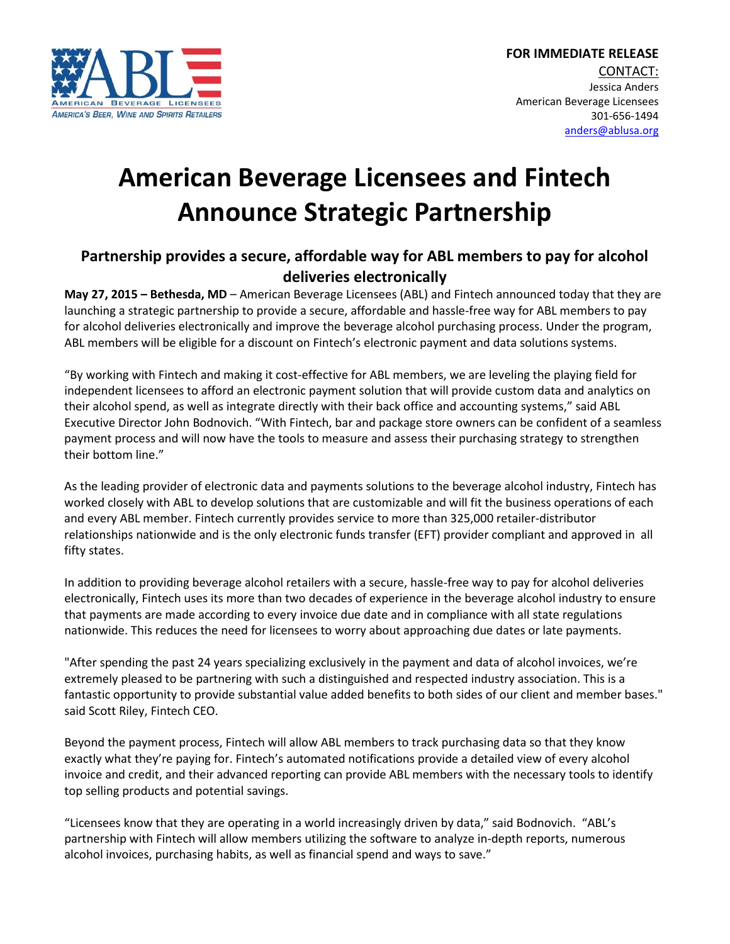

## **American Beverage Licensees and Fintech Announce Strategic Partnership**

## **Partnership provides a secure, affordable way for ABL members to pay for alcohol deliveries electronically**

**May 27, 2015 – Bethesda, MD** – American Beverage Licensees (ABL) and Fintech announced today that they are launching a strategic partnership to provide a secure, affordable and hassle-free way for ABL members to pay for alcohol deliveries electronically and improve the beverage alcohol purchasing process. Under the program, ABL members will be eligible for a discount on Fintech's electronic payment and data solutions systems.

"By working with Fintech and making it cost-effective for ABL members, we are leveling the playing field for independent licensees to afford an electronic payment solution that will provide custom data and analytics on their alcohol spend, as well as integrate directly with their back office and accounting systems," said ABL Executive Director John Bodnovich. "With Fintech, bar and package store owners can be confident of a seamless payment process and will now have the tools to measure and assess their purchasing strategy to strengthen their bottom line."

As the leading provider of electronic data and payments solutions to the beverage alcohol industry, Fintech has worked closely with ABL to develop solutions that are customizable and will fit the business operations of each and every ABL member. Fintech currently provides service to more than 325,000 retailer-distributor relationships nationwide and is the only electronic funds transfer (EFT) provider compliant and approved in all fifty states.

In addition to providing beverage alcohol retailers with a secure, hassle-free way to pay for alcohol deliveries electronically, Fintech uses its more than two decades of experience in the beverage alcohol industry to ensure that payments are made according to every invoice due date and in compliance with all state regulations nationwide. This reduces the need for licensees to worry about approaching due dates or late payments.

"After spending the past 24 years specializing exclusively in the payment and data of alcohol invoices, we're extremely pleased to be partnering with such a distinguished and respected industry association. This is a fantastic opportunity to provide substantial value added benefits to both sides of our client and member bases." said Scott Riley, Fintech CEO.

Beyond the payment process, Fintech will allow ABL members to track purchasing data so that they know exactly what they're paying for. Fintech's automated notifications provide a detailed view of every alcohol invoice and credit, and their advanced reporting can provide ABL members with the necessary tools to identify top selling products and potential savings.

"Licensees know that they are operating in a world increasingly driven by data," said Bodnovich. "ABL's partnership with Fintech will allow members utilizing the software to analyze in-depth reports, numerous alcohol invoices, purchasing habits, as well as financial spend and ways to save."